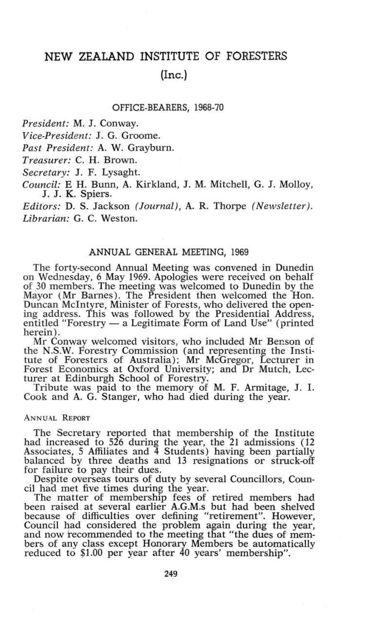# **NEW ZEALAND INSTITUTE OF FORESTERS (Inc.)**

## OFFICE-BEARERS, 1968-70

*President:* M. J. Conway.

*Vice-President:* J. G. Groome.

*Past President:* A. W. Grayburn.

*Treasurer:* C. H. Brown.

*Secretary:* J. F. Lysaght.

*Council:* E H. Bunn, A. Kirkland, J. M. Mitchell, G. J. Molloy, J. J. K. Spiers.

*Editors:* D. S. Jackson *(Journal),* A. R. Thorpe *(Newsletter). Librarian:* G. C. Weston.

# ANNUAL GENERAL MEETING, 1969

The forty-second Annual Meeting was convened in Dunedin on Wednesday, 6 May 1969. Apologies were received on behalf of 30 members. The meeting was welcomed to Dunedin by the Mayor (Mr Barnes). The President then welcomed the Hon. Duncan McIntyre, Minister of Forests, who delivered the opening address. This was followed by the Presidential Address, entitled "Forestry — a Legitimate Form of Land Use" (printed herein).

Mr Conway welcomed visitors, who included Mr Benson of the N.S.W. Forestry Commission (and representing the Institute of Foresters of Australia); Mr McGregor, Lecturer in Forest Economics at Oxford University; and Dr Mutch, Lecturer at Edinburgh School of Forestry.

Tribute was paid to the memory of M. F. Armitage, J. I. Cook and A. G. Stanger, who had died during the year.

## ANNUAL REPORT

The Secretary reported that membership of the Institute had increased to 526 during the year, the 21 admissions (12 Associates, 5 Affiliates and 4 Students) having been partially balanced by three deaths and 13 resignations or struck-off for failure to pay their dues.

Despite overseas tours of duty by several Councillors, Council had met five times during the year.

The matter of membership fees of retired members had been raised at several earlier A.G.M.s but had been shelved because of difficulties over defining "retirement". However, Council had considered the problem again during the year, and now recommended to the meeting that "the dues of members of any class except Honorary Members be automatically reduced to  $$1.00$  per year after  $40$  years' membership".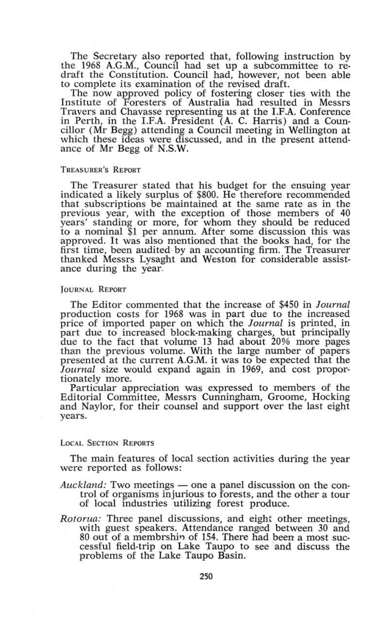The Secretary also reported that, following instruction by the 1968 A.G.M., Council had set up a subcommittee to redraft the Constitution. Council had, however, not been able to complete its examination of the revised draft.

The now approved policy of fostering closer ties with the Institute of Foresters of Australia had resulted in Messrs Travers and Chavasse representing us at the I.F.A. Conference in Perth, in the I.F.A. President (A. C. Harris) and a Councillor (Mr Begg) attending a Council meeting in Wellington at which these ideas were discussed, and in the present attendance of Mr Begg of N.S.W.

#### TREASURER'S REPORT

The Treasurer stated that his budget for the ensuing year indicated a likely surplus of \$800. He therefore recommended that subscriptions be maintained at the same rate as in the previous year, with the exception of those members of 40 years' standing or more, for whom they should be reduced to a nominal \$1 per annum. After some discussion this was approved. It was also mentioned that the books had, for the first time, been audited by an accounting firm. The Treasurer thanked Messrs Lysaght and Weston for considerable assistance during the year.

# JOURNAL REPORT

The Editor commented that the increase of \$450 in *Journal*  production costs for 1968 was in part due to the increased price of imported paper on which the *Journal* is printed, in part due to increased block-making charges, but principally due to the fact that volume 13 had about 20% more pages than the previous volume. With the large number of papers presented at the current A.G.M, it was to be expected that the *Journal* size would expand again in 1969, and cost proportionately more.

Particular appreciation was expressed to members of the Editorial Committee, Messrs Cunningham, Groome, Hocking and Naylor, for their counsel and support over the last eight years.

### LOCAL SECTION REPORTS

The main features of local section activities during the year were reported as follows:

- *Auckland:* Two meetings one a panel discussion on the control of organisms injurious to forests, and the other a tour of local industries utilizing forest produce.
- *Rotorua:* Three panel discussions, and eight other meetings, with guest speakers. Attendance ranged between 30 and 80 out of a membrshin of 154. There had been a most successful field-trip on Lake Taupo to see and discuss the problems of the Lake Taupo Basin.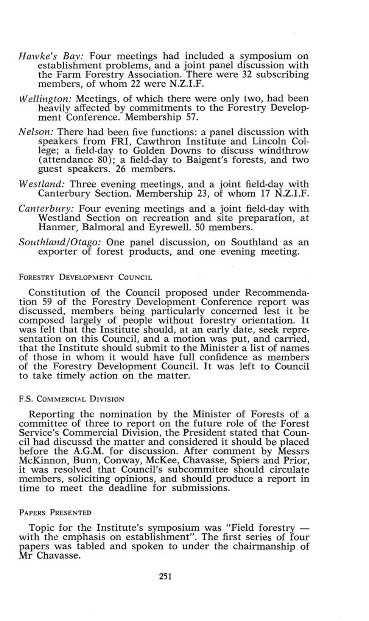- *Hawke's Bay:* Four meetings had included a symposium on establishment problems, and a joint panel discussion with the Farm Forestry Association. There were 32 subscribing members, of whom 22 were N.Z.I.F.
- *Wellington:* Meetings, of which there were only two, had been heavily affected by commitments to the Forestry Development Conference. Membership 57.
- *Nelson:* There had been five functions: a panel discussion with speakers from FRI, Cawthron Institute and Lincoln College; a field-day to Golden Downs to discuss windthrow (attendance 80); a field-day to Baigent's forests, and two guest speakers. 26 members.
- *Westland:* Three evening meetings, and a joint field-day with Canterbury Section. Membership 23, of whom 17 N.Z.I.F.
- *Canterbury:* Four evening meetings and a joint field-day with Westland Section on recreation and site preparation, at Hanmer, Balmoral and Eyrewell. 50 members.
- *Southland/Otago:* One panel discussion, on Southland as an exporter of forest products, and one evening meeting.

# FORESTRY DEVELOPMENT COUNCIL

Constitution of the Council proposed under Recommendation 59 of the Forestry Development Conference report was discussed, members being particularly concerned lest it be composed largely of people without forestry orientation. It was felt that the Institute should, at an early date, seek representation on this Council, and a motion was put, and carried, that the Institute should submit to the Minister a list of names of those in whom it would have full confidence as members of the Forestry Development Council. It was left to Council to take timely action on the matter.

## F.S. COMMERCIAL DIVISION

Reporting the nomination by the Minister of Forests of a committee of three to report on the future role of the Forest Service's Commercial Division, the President stated that Council had discussd the matter and considered it should be placed before the A.G.M, for discussion. After comment by Messrs McKinnon, Bunn, Conway, McKee, Chavasse, Spiers and Prior, it was resolved that Council's subcommitee should circulate members, soliciting opinions, and should produce a report in time to meet the deadline for submissions.

# PAPERS PRESENTED

Topic for the Institute's symposium was "Field forestry with the emphasis on establishment". The first series of four papers was tabled and spoken to under the chairmanship of Mr Chavasse.